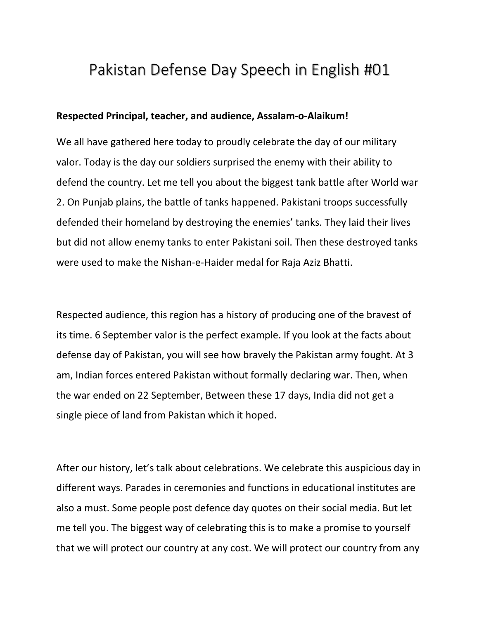## Pakistan Defense Day Speech in English #01

## **Respected Principal, teacher, and audience, Assalam-o-Alaikum!**

We all have gathered here today to proudly celebrate the day of our military valor. Today is the day our soldiers surprised the enemy with their ability to defend the country. Let me tell you about the biggest tank battle after World war 2. On Punjab plains, the battle of tanks happened. Pakistani troops successfully defended their homeland by destroying the enemies' tanks. They laid their lives but did not allow enemy tanks to enter Pakistani soil. Then these destroyed tanks were used to make the Nishan-e-Haider medal for Raja Aziz Bhatti.

Respected audience, this region has a history of producing one of the bravest of its time. 6 September valor is the perfect example. If you look at the facts about defense day of Pakistan, you will see how bravely the Pakistan army fought. At 3 am, Indian forces entered Pakistan without formally declaring war. Then, when the war ended on 22 September, Between these 17 days, India did not get a single piece of land from Pakistan which it hoped.

After our history, let's talk about celebrations. We celebrate this auspicious day in different ways. Parades in ceremonies and functions in educational institutes are also a must. Some people post defence day quotes on their social media. But let me tell you. The biggest way of celebrating this is to make a promise to yourself that we will protect our country at any cost. We will protect our country from any